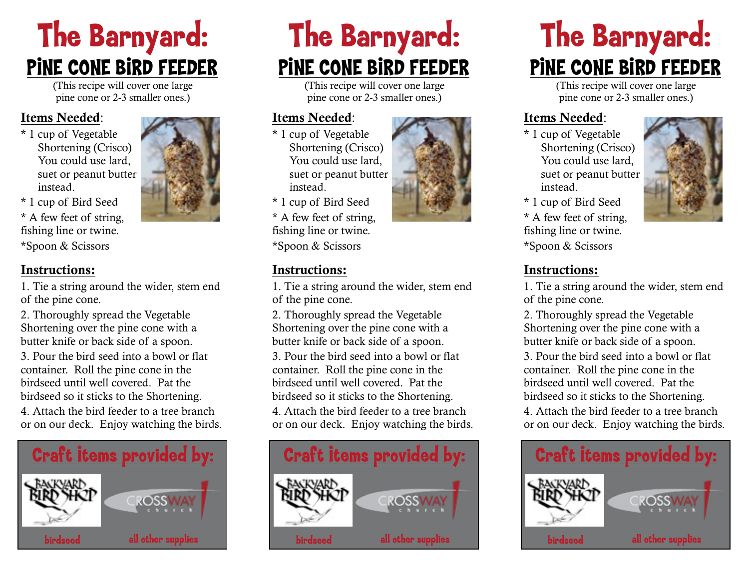# The Barnyard: PINE CONE BIRD FEEDER

(This recipe will cover one large pine cone or 2-3 smaller ones.)

#### Items Needed:

\* 1 cup of Vegetable Shortening (Crisco) You could use lard, suet or peanut butter instead.



\* 1 cup of Bird Seed \* A few feet of string, fishing line or twine. \*Spoon & Scissors

#### Instructions:

1. Tie a string around the wider, stem end of the pine cone.

2. Thoroughly spread the Vegetable Shortening over the pine cone with a butter knife or back side of a spoon.

3. Pour the bird seed into a bowl or flat container. Roll the pine cone in the birdseed until well covered. Pat the birdseed so it sticks to the Shortening.

4. Attach the bird feeder to a tree branch or on our deck. Enjoy watching the birds.



# The Barnyard: PINE CONE BIRD FEEDER

(This recipe will cover one large pine cone or 2-3 smaller ones.)

#### Items Needed:

- \* 1 cup of Vegetable Shortening (Crisco) You could use lard, suet or peanut butter instead.
- \* 1 cup of Bird Seed

\* A few feet of string, fishing line or twine. \*Spoon & Scissors

1. Tie a string around the wider, stem end of the pine cone.

2. Thoroughly spread the Vegetable Shortening over the pine cone with a butter knife or back side of a spoon.

3. Pour the bird seed into a bowl or flat container. Roll the pine cone in the birdseed until well covered. Pat the

birdseed so it sticks to the Shortening. 4. Attach the bird feeder to a tree branch

or on our deck. Enjoy watching the birds.



# The Barnyard: PINE CONE BIRD FEEDER

(This recipe will cover one large pine cone or 2-3 smaller ones.)

#### Items Needed:

\* 1 cup of Vegetable Shortening (Crisco) You could use lard, suet or peanut butter instead.



\* 1 cup of Bird Seed

\* A few feet of string, fishing line or twine. \*Spoon & Scissors

#### Instructions:

1. Tie a string around the wider, stem end of the pine cone.

2. Thoroughly spread the Vegetable Shortening over the pine cone with a butter knife or back side of a spoon.

3. Pour the bird seed into a bowl or flat container. Roll the pine cone in the birdseed until well covered. Pat the birdseed so it sticks to the Shortening.

4. Attach the bird feeder to a tree branch or on our deck. Enjoy watching the birds.





#### Instructions: